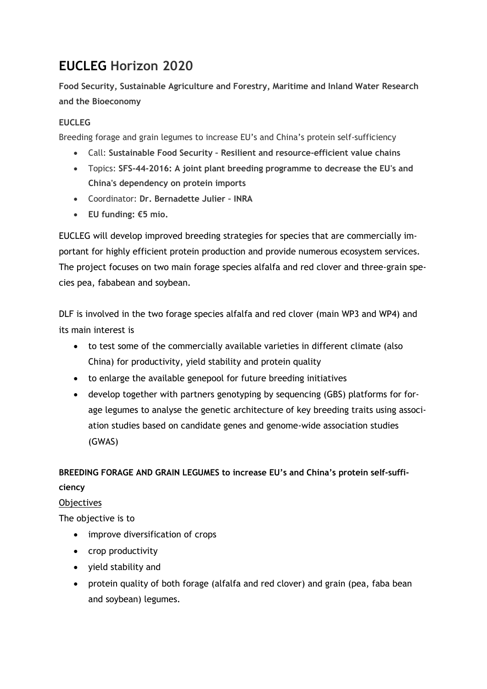# **EUCLEG Horizon 2020**

**Food Security, Sustainable Agriculture and Forestry, Maritime and Inland Water Research and the Bioeconomy**

### **EUCLEG**

Breeding forage and grain legumes to increase EU's and China's protein self-sufficiency

- Call: **Sustainable Food Security – Resilient and resource-efficient value chains**
- Topics: **SFS-44-2016: A joint plant breeding programme to decrease the EU's and China's dependency on protein imports**
- Coordinator: **Dr. Bernadette Julier – INRA**
- **EU funding: €5 mio.**

EUCLEG will develop improved breeding strategies for species that are commercially important for highly efficient protein production and provide numerous ecosystem services. The project focuses on two main forage species alfalfa and red clover and three-grain species pea, fababean and soybean.

DLF is involved in the two forage species alfalfa and red clover (main WP3 and WP4) and its main interest is

- to test some of the commercially available varieties in different climate (also China) for productivity, yield stability and protein quality
- to enlarge the available genepool for future breeding initiatives
- develop together with partners genotyping by sequencing (GBS) platforms for forage legumes to analyse the genetic architecture of key breeding traits using association studies based on candidate genes and genome-wide association studies (GWAS)

**BREEDING FORAGE AND GRAIN LEGUMES to increase EU's and China's protein self-sufficiency**

#### Objectives

The objective is to

- improve diversification of crops
- crop productivity
- yield stability and
- protein quality of both forage (alfalfa and red clover) and grain (pea, faba bean and soybean) legumes.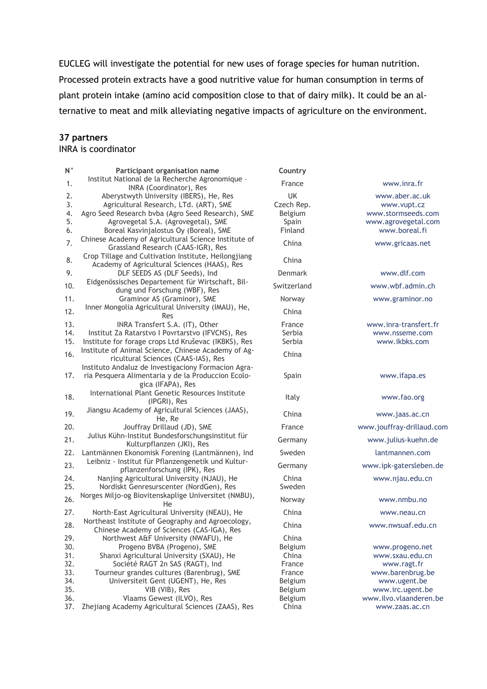EUCLEG will investigate the potential for new uses of forage species for human nutrition. Processed protein extracts have a good nutritive value for human consumption in terms of plant protein intake (amino acid composition close to that of dairy milk). It could be an alternative to meat and milk alleviating negative impacts of agriculture on the environment.

#### **37 partners**

### INRA is coordinator

| $\mathsf{N}$ $^{\circ}$ | Participant organisation name                                                                        | Country     |                           |
|-------------------------|------------------------------------------------------------------------------------------------------|-------------|---------------------------|
| 1.                      | Institut National de la Recherche Agronomique -<br>INRA (Coordinator), Res                           | France      | www.inra.fr               |
| 2.                      | Aberystwyth University (IBERS), He, Res                                                              | UK          | www.aber.ac.uk            |
| 3.                      | Agricultural Research, LTd. (ART), SME                                                               | Czech Rep.  | www.vupt.cz               |
| 4.                      | Agro Seed Research bvba (Agro Seed Research), SME                                                    | Belgium     | www.stormseeds.com        |
| 5.                      | Agrovegetal S.A. (Agrovegetal), SME                                                                  | Spain       | www.agrovegetal.com       |
| 6.                      | Boreal Kasvinjalostus Oy (Boreal), SME                                                               | Finland     | www.boreal.fi             |
| 7.                      | Chinese Academy of Agricultural Science Institute of<br>Grassland Research (CAAS-IGR), Res           | China       | www.gricaas.net           |
| 8.                      | Crop Tillage and Cultivation Institute, Heilongjiang<br>Academy of Agricultural Sciences (HAAS), Res | China       |                           |
| 9.                      | DLF SEEDS AS (DLF Seeds), Ind                                                                        | Denmark     | www.dlf.com               |
| 10.                     | Eidgenössisches Departement für Wirtschaft, Bil-<br>dung und Forschung (WBF), Res                    | Switzerland | www.wbf.admin.ch          |
| 11.                     | Graminor AS (Graminor), SME                                                                          | Norway      | www.graminor.no           |
|                         | Inner Mongolia Agricultural University (IMAU), He,                                                   |             |                           |
| 12.                     | Res                                                                                                  | China       |                           |
| 13.                     | INRA Transfert S.A. (IT), Other                                                                      | France      | www.inra-transfert.fr     |
| 14.                     | Institut Za Ratarstvo I Povrtarstvo (IFVCNS), Res                                                    | Serbia      | www.nsseme.com            |
| 15.                     | Institute for forage crops Ltd Kruševac (IKBKS), Res                                                 | Serbia      | www.ikbks.com             |
|                         | Institute of Animal Science, Chinese Academy of Ag-                                                  |             |                           |
| 16.                     | ricultural Sciences (CAAS-IAS), Res                                                                  | China       |                           |
|                         | Instituto Andaluz de Investigaciony Formacion Agra-                                                  |             |                           |
| 17.                     | ria Pesquera Alimentaria y de la Produccion Ecolo-                                                   | Spain       | www.ifapa.es              |
|                         | gica (IFAPA), Res                                                                                    |             |                           |
| 18.                     | International Plant Genetic Resources Institute                                                      |             |                           |
|                         | (IPGRI), Res                                                                                         | Italy       | www.fao.org               |
| 19.                     | Jiangsu Academy of Agricultural Sciences (JAAS),                                                     | China       | www.jaas.ac.cn            |
|                         | He, Re                                                                                               |             |                           |
| 20.                     | Jouffray Drillaud (JD), SME                                                                          | France      | www.jouffray-drillaud.com |
| 21.                     | Julius Kühn-Institut Bundesforschungsinstitut für<br>Kulturpflanzen (JKI), Res                       | Germany     | www.julius-kuehn.de       |
| 22.                     | Lantmännen Ekonomisk Forening (Lantmännen), Ind                                                      | Sweden      | lantmannen.com            |
| 23.                     | Leibniz - Institut für Pflanzengenetik und Kultur-                                                   | Germany     | www.ipk-gatersleben.de    |
|                         | pflanzenforschung (IPK), Res                                                                         |             |                           |
| 24.                     | Nanjing Agricultural University (NJAU), He                                                           | China       | www.njau.edu.cn           |
| 25.                     | Nordiskt Genresurscenter (NordGen), Res                                                              | Sweden      |                           |
| 26.                     | Norges Miljo-og Biovitenskaplige Universitet (NMBU),<br>He                                           | Norway      | www.nmbu.no               |
| 27.                     | North-East Agricultural University (NEAU), He                                                        | China       | www.neau.cn               |
|                         | Northeast Institute of Geography and Agroecology,                                                    |             |                           |
| 28.                     | Chinese Academy of Sciences (CAS-IGA), Res                                                           | China       | www.nwsuaf.edu.cn         |
| 29.                     | Northwest A&F University (NWAFU), He                                                                 | China       |                           |
| 30.                     | Progeno BVBA (Progeno), SME                                                                          | Belgium     | www.progeno.net           |
| 31.                     | Shanxi Agricultural University (SXAU), He                                                            | China       | www.sxau.edu.cn           |
| 32.                     | Société RAGT 2n SAS (RAGT), Ind                                                                      | France      | www.ragt.fr               |
| 33.                     | Tourneur grandes cultures (Barenbrug), SME                                                           | France      | www.barenbrug.be          |
| 34.                     | Universiteit Gent (UGENT), He, Res                                                                   | Belgium     | www.ugent.be              |
| 35.                     | VIB (VIB), Res                                                                                       | Belgium     | www.irc.ugent.be          |
| 36.                     | Vlaams Gewest (ILVO), Res                                                                            | Belgium     | www.ilvo.vlaanderen.be    |
| 37.                     | Zhejiang Academy Agricultural Sciences (ZAAS), Res                                                   | China       | www.zaas.ac.cn            |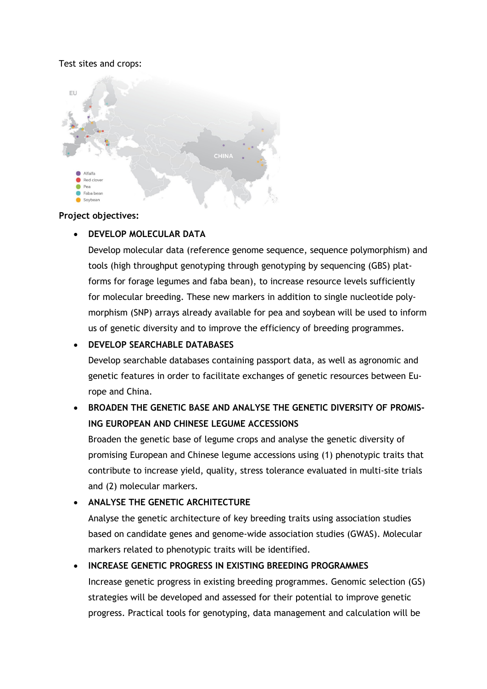### Test sites and crops:



#### **Project objectives:**

### • **DEVELOP MOLECULAR DATA**

Develop molecular data (reference genome sequence, sequence polymorphism) and tools (high throughput genotyping through genotyping by sequencing (GBS) platforms for forage legumes and faba bean), to increase resource levels sufficiently for molecular breeding. These new markers in addition to single nucleotide polymorphism (SNP) arrays already available for pea and soybean will be used to inform us of genetic diversity and to improve the efficiency of breeding programmes.

### • **DEVELOP SEARCHABLE DATABASES**

Develop searchable databases containing passport data, as well as agronomic and genetic features in order to facilitate exchanges of genetic resources between Europe and China.

# • **BROADEN THE GENETIC BASE AND ANALYSE THE GENETIC DIVERSITY OF PROMIS-ING EUROPEAN AND CHINESE LEGUME ACCESSIONS**

Broaden the genetic base of legume crops and analyse the genetic diversity of promising European and Chinese legume accessions using (1) phenotypic traits that contribute to increase yield, quality, stress tolerance evaluated in multi-site trials and (2) molecular markers.

### • **ANALYSE THE GENETIC ARCHITECTURE**

Analyse the genetic architecture of key breeding traits using association studies based on candidate genes and genome-wide association studies (GWAS). Molecular markers related to phenotypic traits will be identified.

# • **INCREASE GENETIC PROGRESS IN EXISTING BREEDING PROGRAMMES**

Increase genetic progress in existing breeding programmes. Genomic selection (GS) strategies will be developed and assessed for their potential to improve genetic progress. Practical tools for genotyping, data management and calculation will be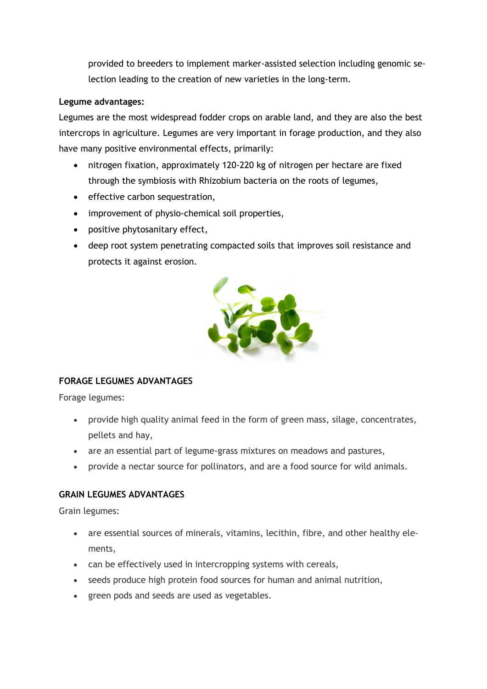provided to breeders to implement marker-assisted selection including genomic selection leading to the creation of new varieties in the long-term.

### **Legume advantages:**

Legumes are the most widespread fodder crops on arable land, and they are also the best intercrops in agriculture. Legumes are very important in forage production, and they also have many positive environmental effects, primarily:

- nitrogen fixation, approximately 120-220 kg of nitrogen per hectare are fixed through the symbiosis with Rhizobium bacteria on the roots of legumes,
- effective carbon sequestration,
- improvement of physio-chemical soil properties,
- positive phytosanitary effect,
- deep root system penetrating compacted soils that improves soil resistance and protects it against erosion.



### **FORAGE LEGUMES ADVANTAGES**

Forage legumes:

- provide high quality animal feed in the form of green mass, silage, concentrates, pellets and hay,
- are an essential part of legume-grass mixtures on meadows and pastures,
- provide a nectar source for pollinators, and are a food source for wild animals.

### **GRAIN LEGUMES ADVANTAGES**

Grain legumes:

- are essential sources of minerals, vitamins, lecithin, fibre, and other healthy elements,
- can be effectively used in intercropping systems with cereals,
- seeds produce high protein food sources for human and animal nutrition,
- green pods and seeds are used as vegetables.